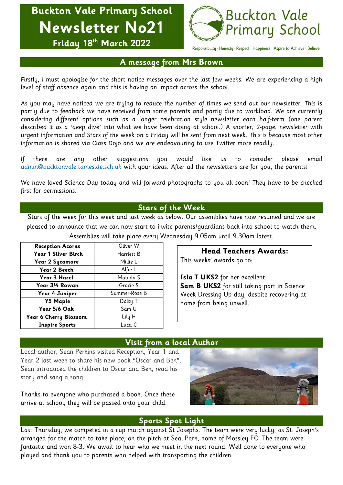**Buckton Vale Primary School Newsletter No21 Friday 18 th March 2022**



Responsibility · Honesty · Respect · Happiness · Aspire to Achieve · Believe

## **A message from Mrs Brown**

Firstly, I must apologise for the short notice messages over the last few weeks. We are experiencing a high level of staff absence again and this is having an impact across the school.

As you may have noticed we are trying to reduce the number of times we send out our newsletter. This is partly due to feedback we have received from some parents and partly due to workload. We are currently considering different options such as a longer celebration style newsletter each half-term (one parent described it as a 'deep dive' into what we have been doing at school.) A shorter, 2-page, newsletter with urgent information and Stars of the week on a Friday will be sent from next week. This is because most other information is shared via Class Dojo and we are endeavouring to use Twitter more readily.

If there are any other suggestions you would like us to consider please email [admin@bucktonvale.tameside.sch.uk](mailto:admin@bucktonvale.tameside.sch.uk) with your ideas. After all the newsletters are for you, the parents!

We have loved Science Day today and will forward photographs to you all soon! They have to be checked first for permissions.

### **Stars of the Week**

Stars of the week for this week and last week as below. Our assemblies have now resumed and we are pleased to announce that we can now start to invite parents/guardians back into school to watch them. Assemblies will take place every Wednesday 9.05am until 9.30am latest.

| <b>Reception Acorns</b> | Oliver W      |
|-------------------------|---------------|
| Year 1 Silver Birch     | Harriett B    |
| <b>Year 2 Sycamore</b>  | Millie L      |
| Year 2 Beech            | Alfie L       |
| Year 3 Hazel            | Matilda S     |
| Year 3/4 Rowan          | Gracie S      |
| Year 4 Juniper          | Summer-Rose B |
| <b>Y5 Maple</b>         | Daisy T       |
| Year 5/6 Oak            | Sam U         |
| Year 6 Cherry Blossom   | Lily H        |
| <b>Inspire Sports</b>   | Luca C        |

**Head Teachers Awards:**

This weeks' awards go to:

**Isla T UKS2** for her excellent **Sam B UKS2** for still taking part in Science Week Dressing Up day, despite recovering at home from being unwell.

# **Visit from a local Author**

Local author, Sean Perkins visited Reception, Year 1 and Year 2 last week to share his new book "Oscar and Ben". Sean introduced the children to Oscar and Ben, read his story and sang a song.

Thanks to everyone who purchased a book. Once these arrive at school, they will be passed onto your child.



# **Sports Spot Light**

Last Thursday, we competed in a cup match against St Josephs. The team were very lucky, as St. Joseph's arranged for the match to take place, on the pitch at Seal Park, home of Mossley FC. The team were fantastic and won 8-3. We await to hear who we meet in the next round. Well done to everyone who played and thank you to parents who helped with transporting the children.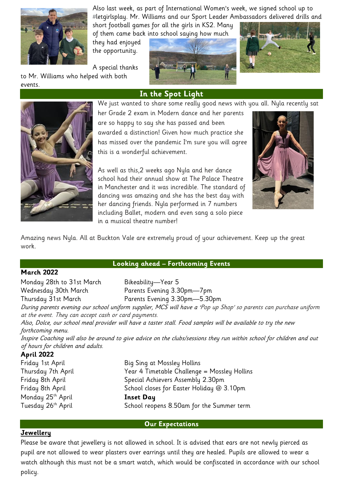

Also last week, as part of International Women's week, we signed school up to #letgirlsplay. Mr. Williams and our Sport Leader Ambassadors delivered drills and

short football games for all the girls in KS2. Many of them came back into school saying how much

they had enjoyed the opportunity.

A special thanks to Mr. Williams who helped with both

events.







We just wanted to share some really good news with you all. Nyla recently sat her Grade 2 exam in Modern dance and her parents

**In the Spot Light**

are so happy to say she has passed and been awarded a distinction! Given how much practice she has missed over the pandemic I'm sure you will agree this is a wonderful achievement.

As well as this,2 weeks ago Nyla and her dance school had their annual show at The Palace Theatre in Manchester and it was incredible. The standard of dancing was amazing and she has the best day with her dancing friends. Nyla performed in 7 numbers including Ballet, modern and even sang a solo piece in a musical theatre number!



Amazing news Nyla. All at Buckton Vale are extremely proud of your achievement. Keep up the great work.

### **March 2022**

#### **Looking ahead – Forthcoming Events**

Monday 28th to 31st March Bikeability-Year 5 Wednesday 30th March Parents Evening 3.30pm-7pm Thursday 31st March Parents Evening 3.30pm—5.30pm During parents evening our school uniform supplier, MCS will have a 'Pop up Shop' so parents can purchase uniform at the event. They can accept cash or card payments. Also, Dolce, our school meal provider will have a taster stall. Food samples will be available to try the new forthcoming menu. Inspire Coaching will also be around to give advice on the clubs/sessions they run within school for children and out of hours for children and adults. **April 2022**

| .                              |                                              |  |
|--------------------------------|----------------------------------------------|--|
| Friday 1st April               | Big Sing at Mossley Hollins                  |  |
| Thursday 7th April             | Year 4 Timetable Challenge = Mossley Hollins |  |
| Friday 8th April               | Special Achievers Assembly 2.30pm            |  |
| Friday 8th April               | School closes for Easter Holiday @ 3.10pm    |  |
| Monday 25 <sup>th</sup> April  | <b>Inset Day</b>                             |  |
| Tuesday 26 <sup>th</sup> April | School reopens 8.50am for the Summer term    |  |
|                                |                                              |  |

### **Our Expectations**

## **Jewellery**

Please be aware that jewellery is not allowed in school. It is advised that ears are not newly pierced as pupil are not allowed to wear plasters over earrings until they are healed. Pupils are allowed to wear a watch although this must not be a smart watch, which would be confiscated in accordance with our school policy.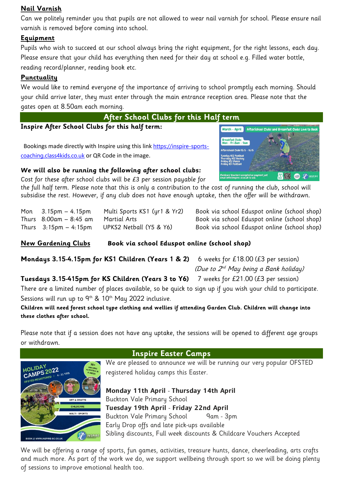# **Nail Varnish**

Can we politely reminder you that pupils are not allowed to wear nail varnish for school. Please ensure nail varnish is removed before coming into school.

# **Equipment**

Pupils who wish to succeed at our school always bring the right equipment, for the right lessons, each day. Please ensure that your child has everything then need for their day at school e.g. Filled water bottle, reading record/planner, reading book etc.

# **Punctuality**

We would like to remind everyone of the importance of arriving to school promptly each morning. Should your child arrive later, they must enter through the main entrance reception area. Please note that the gates open at 8.50am each morning.



**Inspire After School Clubs for this half term:**

Bookings made directly with Inspire using this link [https://inspire-sports](https://inspire-sports-coaching.class4kids.co.uk/)[coaching.class4kids.co.uk](https://inspire-sports-coaching.class4kids.co.uk/) or QR Code in the image.

## **We will also be running the following after school clubs:**

Cost for these after school clubs will be £3 per session payable for

the full half term. Please note that this is only a contribution to the cost of running the club, school will subsidise the rest. However, if any club does not have enough uptake, then the offer will be withdrawn.

Mon 3.15pm – 4.15pm Multi Sports KS1 (yr1 & Yr2) Book via school Eduspot online (school shop) Thurs 8:00am – 8:45 am Martial Arts Book via school Eduspot online (school shop) Thurs 3:15pm – 4:15pm UPKS2 Netball (Y5 & Y6) Book via school Eduspot online (school shop)

**New Gardening Clubs Book via school Eduspot online (school shop)**

**Mondays 3.15-4.15pm for KS1 Children (Years 1 & 2)** 6 weeks for £18.00 (£3 per session) (Due to  $2^{\scriptscriptstyle nd}$  May being a Bank holiday)

**Tuesdays 3.15-415pm for KS Children (Years 3 to Y6)** 7 weeks for £21.00 (£3 per session)

There are a limited number of places available, so be quick to sign up if you wish your child to participate. Sessions will run up to  $9<sup>th</sup>$  & 10<sup>th</sup> May 2022 inclusive.

### **Children will need forest school type clothing and wellies if attending Garden Club. Children will change into these clothes after school.**

Please note that if a session does not have any uptake, the sessions will be opened to different age groups or withdrawn.



**Inspire Easter Camps**

We are pleased to announce we will be running our very popular OFSTED registered holiday camps this Easter.

Monday 11th April - Thursday 14th April Buckton Vale Primary School Tuesday 19th April - Friday 22nd April Buckton Vale Primary School 9am - 3pm Early Drop offs and late pick-ups available Sibling discounts, Full week discounts & Childcare Vouchers Accepted

We will be offering a range of sports, fun games, activities, treasure hunts, dance, cheerleading, arts crafts and much more. As part of the work we do, we support wellbeing through sport so we will be doing plenty of sessions to improve emotional health too.

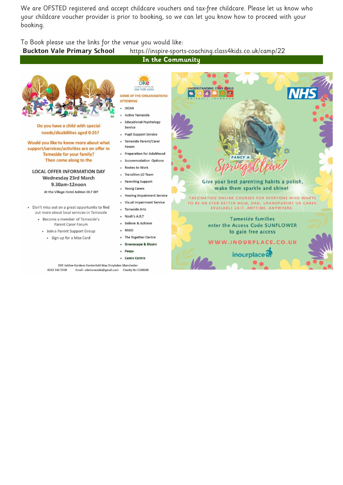We are OFSTED registered and accept childcare vouchers and tax-free childcare. Please let us know who your childcare voucher provider is prior to booking, so we can let you know how to proceed with your booking.

To Book please use the links for the venue you would like:

#### Buckton Vale Primary School https://inspire-sports-coaching.class4kids.co.uk/camp/22

**In the Community**